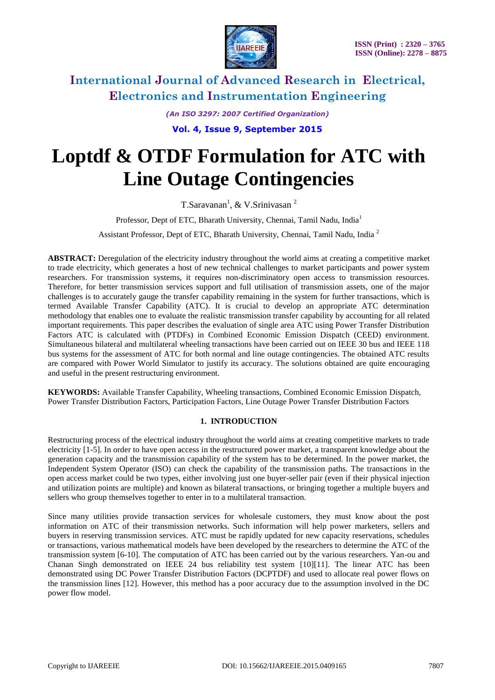

*(An ISO 3297: 2007 Certified Organization)*

# **Vol. 4, Issue 9, September 2015**

# **Loptdf & OTDF Formulation for ATC with Line Outage Contingencies**

T.Saravanan<sup>1</sup>, & V.Srinivasan<sup>2</sup>

Professor, Dept of ETC, Bharath University, Chennai, Tamil Nadu, India<sup>1</sup>

Assistant Professor, Dept of ETC, Bharath University, Chennai, Tamil Nadu, India <sup>2</sup>

**ABSTRACT:** Deregulation of the electricity industry throughout the world aims at creating a competitive market to trade electricity, which generates a host of new technical challenges to market participants and power system researchers. For transmission systems, it requires non-discriminatory open access to transmission resources. Therefore, for better transmission services support and full utilisation of transmission assets, one of the major challenges is to accurately gauge the transfer capability remaining in the system for further transactions, which is termed Available Transfer Capability (ATC). It is crucial to develop an appropriate ATC determination methodology that enables one to evaluate the realistic transmission transfer capability by accounting for all related important requirements. This paper describes the evaluation of single area ATC using Power Transfer Distribution Factors ATC is calculated with (PTDFs) in Combined Economic Emission Dispatch (CEED) environment. Simultaneous bilateral and multilateral wheeling transactions have been carried out on IEEE 30 bus and IEEE 118 bus systems for the assessment of ATC for both normal and line outage contingencies. The obtained ATC results are compared with Power World Simulator to justify its accuracy. The solutions obtained are quite encouraging and useful in the present restructuring environment.

**KEYWORDS:** Available Transfer Capability, Wheeling transactions, Combined Economic Emission Dispatch, Power Transfer Distribution Factors, Participation Factors, Line Outage Power Transfer Distribution Factors

### **1. INTRODUCTION**

Restructuring process of the electrical industry throughout the world aims at creating competitive markets to trade electricity [1-5]. In order to have open access in the restructured power market, a transparent knowledge about the generation capacity and the transmission capability of the system has to be determined. In the power market, the Independent System Operator (ISO) can check the capability of the transmission paths. The transactions in the open access market could be two types, either involving just one buyer-seller pair (even if their physical injection and utilization points are multiple) and known as bilateral transactions, or bringing together a multiple buyers and sellers who group themselves together to enter in to a multilateral transaction.

Since many utilities provide transaction services for wholesale customers, they must know about the post information on ATC of their transmission networks. Such information will help power marketers, sellers and buyers in reserving transmission services. ATC must be rapidly updated for new capacity reservations, schedules or transactions, various mathematical models have been developed by the researchers to determine the ATC of the transmission system [6-10]. The computation of ATC has been carried out by the various researchers. Yan-ou and Chanan Singh demonstrated on IEEE 24 bus reliability test system [10][11]. The linear ATC has been demonstrated using DC Power Transfer Distribution Factors (DCPTDF) and used to allocate real power flows on the transmission lines [12]. However, this method has a poor accuracy due to the assumption involved in the DC power flow model.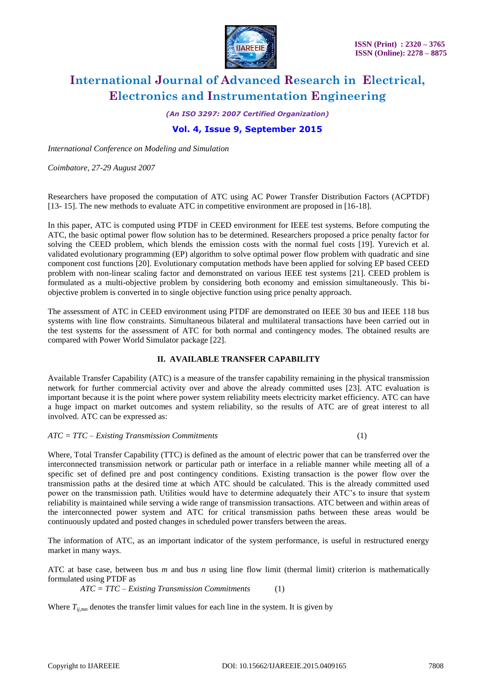

*(An ISO 3297: 2007 Certified Organization)*

### **Vol. 4, Issue 9, September 2015**

*International Conference on Modeling and Simulation*

*Coimbatore, 27-29 August 2007*

Researchers have proposed the computation of ATC using AC Power Transfer Distribution Factors (ACPTDF) [13- 15]. The new methods to evaluate ATC in competitive environment are proposed in [16-18].

In this paper, ATC is computed using PTDF in CEED environment for IEEE test systems. Before computing the ATC, the basic optimal power flow solution has to be determined. Researchers proposed a price penalty factor for solving the CEED problem, which blends the emission costs with the normal fuel costs [19]. Yurevich et al. validated evolutionary programming (EP) algorithm to solve optimal power flow problem with quadratic and sine component cost functions [20]. Evolutionary computation methods have been applied for solving EP based CEED problem with non-linear scaling factor and demonstrated on various IEEE test systems [21]. CEED problem is formulated as a multi-objective problem by considering both economy and emission simultaneously. This biobjective problem is converted in to single objective function using price penalty approach.

The assessment of ATC in CEED environment using PTDF are demonstrated on IEEE 30 bus and IEEE 118 bus systems with line flow constraints. Simultaneous bilateral and multilateral transactions have been carried out in the test systems for the assessment of ATC for both normal and contingency modes. The obtained results are compared with Power World Simulator package [22].

### **II. AVAILABLE TRANSFER CAPABILITY**

Available Transfer Capability (ATC) is a measure of the transfer capability remaining in the physical transmission network for further commercial activity over and above the already committed uses [23]. ATC evaluation is important because it is the point where power system reliability meets electricity market efficiency. ATC can have a huge impact on market outcomes and system reliability, so the results of ATC are of great interest to all involved. ATC can be expressed as:

*ATC = TTC – Existing Transmission Commitments* (1)

Where, Total Transfer Capability (TTC) is defined as the amount of electric power that can be transferred over the interconnected transmission network or particular path or interface in a reliable manner while meeting all of a specific set of defined pre and post contingency conditions. Existing transaction is the power flow over the transmission paths at the desired time at which ATC should be calculated. This is the already committed used power on the transmission path. Utilities would have to determine adequately their ATC's to insure that system reliability is maintained while serving a wide range of transmission transactions. ATC between and within areas of the interconnected power system and ATC for critical transmission paths between these areas would be continuously updated and posted changes in scheduled power transfers between the areas.

The information of ATC, as an important indicator of the system performance, is useful in restructured energy market in many ways.

ATC at base case, between bus *m* and bus *n* using line flow limit (thermal limit) criterion is mathematically formulated using PTDF as

*ATC = TTC – Existing Transmission Commitments* (1)

Where  $T_{ijmn}$  denotes the transfer limit values for each line in the system. It is given by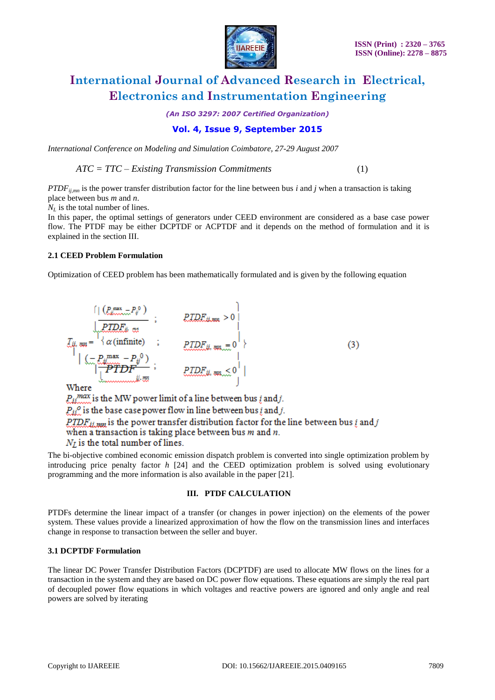

*(An ISO 3297: 2007 Certified Organization)*

### **Vol. 4, Issue 9, September 2015**

*International Conference on Modeling and Simulation Coimbatore, 27-29 August 2007*

*ATC = TTC – Existing Transmission Commitments* (1)

*PTDFij,mn* is the power transfer distribution factor for the line between bus *i* and *j* when a transaction is taking place between bus *m* and *n*.

 $N_L$  is the total number of lines.

In this paper, the optimal settings of generators under CEED environment are considered as a base case power flow. The PTDF may be either DCPTDF or ACPTDF and it depends on the method of formulation and it is explained in the section III.

### **2.1 CEED Problem Formulation**

Optimization of CEED problem has been mathematically formulated and is given by the following equation

$$
\frac{\prod\limits_{j=1}^{n} (P_{ij}^{\max} - P_{ij}^{0})}{\prod\limits_{j=1}^{n} P_{ij}^{\min} + \prod\limits_{j=1}^{n} \alpha(\text{infinite})}; \quad \text{ELDE}_{ij, \text{min}} > 0
$$
\n
$$
\left| \begin{array}{cc} \sum_{j=1}^{n} m_{ij} & m_{ij} \\ \sum_{j=1}^{n} P_{ij}^{\max} - P_{ij}^{0} \end{array} \right|}; \quad \text{PLDE}_{ij, \text{min}} > 0
$$
\n
$$
\left| \begin{array}{cc} \sum_{j=1}^{n} m_{ij} & m_{ij} \\ \sum_{j=1}^{n} P_{ij}^{\max} & m_{ij} \end{array} \right|
$$
\n
$$
\text{Where } (3)
$$

 $P_{ii}$ <sup>max</sup> is the MW power limit of a line between bus *i* and *j*.  $P_{ii}$ <sup>o</sup> is the base case power flow in line between bus *i* and *j*.  $\overline{PTDF_{ji,mn}}$  is the power transfer distribution factor for the line between bus  $i$  and  $j$ when a transaction is taking place between bus  $m$  and  $n$ .  $N_I$  is the total number of lines.

The bi-objective combined economic emission dispatch problem is converted into single optimization problem by introducing price penalty factor *h* [24] and the CEED optimization problem is solved using evolutionary programming and the more information is also available in the paper [21].

### **III. PTDF CALCULATION**

PTDFs determine the linear impact of a transfer (or changes in power injection) on the elements of the power system. These values provide a linearized approximation of how the flow on the transmission lines and interfaces change in response to transaction between the seller and buyer.

### **3.1 DCPTDF Formulation**

The linear DC Power Transfer Distribution Factors (DCPTDF) are used to allocate MW flows on the lines for a transaction in the system and they are based on DC power flow equations. These equations are simply the real part of decoupled power flow equations in which voltages and reactive powers are ignored and only angle and real powers are solved by iterating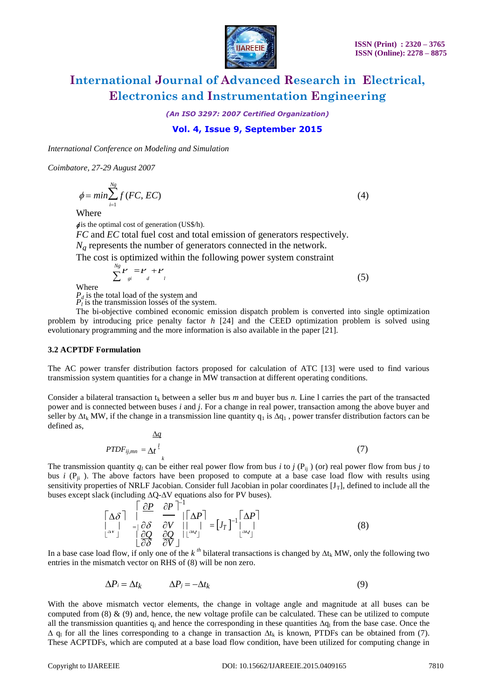

*(An ISO 3297: 2007 Certified Organization)*

### **Vol. 4, Issue 9, September 2015**

*International Conference on Modeling and Simulation*

*Coimbatore, 27-29 August 2007*

 $\phi = min \sum_{i=1}^{Ng} f(FC, EC)$  (4)

**Where** 

 $\phi$  is the optimal cost of generation (US\$/h).

*FC* and *EC* total fuel cost and total emission of generators respectively.

 $N_g$  represents the number of generators connected in the network.

The cost is optimized within the following power system constraint

$$
\sum_{j}^{Ng} \boldsymbol{r}_{gi} = \boldsymbol{r}_{di} + \boldsymbol{r}_{di}
$$

 $\mathbf{I}$  (5)

Where

*P<sup>d</sup>* is the total load of the system and

 $P_l$ <sup>\*</sup> is the transmission losses of the system.

The bi-objective combined economic emission dispatch problem is converted into single optimization problem by introducing price penalty factor *h* [24] and the CEED optimization problem is solved using evolutionary programming and the more information is also available in the paper [21].

#### **3.2 ACPTDF Formulation**

The AC power transfer distribution factors proposed for calculation of ATC [13] were used to find various transmission system quantities for a change in MW transaction at different operating conditions.

Consider a bilateral transaction  $t_k$  between a seller bus *m* and buyer bus *n*. Line 1 carries the part of the transacted power and is connected between buses *i* and *j*. For a change in real power, transaction among the above buyer and seller by  $\Delta t_k$  MW, if the change in a transmission line quantity  $q_1$  is  $\Delta q_1$ , power transfer distribution factors can be defined as,

$$
\frac{\Delta q}{PTDF_{ij,mn}} = \Delta t \frac{l}{k} \tag{7}
$$

The transmission quantity  $q_l$  can be either real power flow from bus *i* to *j* ( $P_{ij}$ ) (or) real power flow from bus *j* to bus *i* ( $P_{ij}$ ). The above factors have been proposed to compute at a base case load flow with results using sensitivity properties of NRLF Jacobian. Consider full Jacobian in polar coordinates  $[J_T]$ , defined to include all the buses except slack (including **∆**Q-**∆**V equations also for PV buses).

$$
\begin{bmatrix}\n\Delta \delta \\
\downarrow \\
\downarrow \\
\Delta V\n\end{bmatrix} = \begin{bmatrix}\n\frac{\partial P}{\partial S} & \frac{\partial P}{\partial V} \\
\frac{\partial \delta}{\partial S} & \frac{\partial V}{\partial V} \end{bmatrix} \begin{bmatrix}\n\Delta P \\
\downarrow \\
\frac{\partial P}{\partial V}\n\end{bmatrix} = [J_T]^{-1} \begin{bmatrix}\n\Delta P \\
\downarrow \\
\frac{\Delta V}{\Delta V}\n\end{bmatrix}
$$
\n(8)

In a base case load flow, if only one of the  $k^{th}$  bilateral transactions is changed by  $\Delta t_k$  MW, only the following two entries in the mismatch vector on RHS of (8) will be non zero.

$$
\Delta P_i = \Delta t_k \qquad \Delta P_j = -\Delta t_k \tag{9}
$$

With the above mismatch vector elements, the change in voltage angle and magnitude at all buses can be computed from  $(8)$  &  $(9)$  and, hence, the new voltage profile can be calculated. These can be utilized to compute all the transmission quantities  $q<sub>l</sub>$  and hence the corresponding in these quantities  $\Delta q<sub>l</sub>$  from the base case. Once the  $\Delta$  q<sub>l</sub> for all the lines corresponding to a change in transaction  $\Delta t_k$  is known, PTDFs can be obtained from (7). These ACPTDFs, which are computed at a base load flow condition, have been utilized for computing change in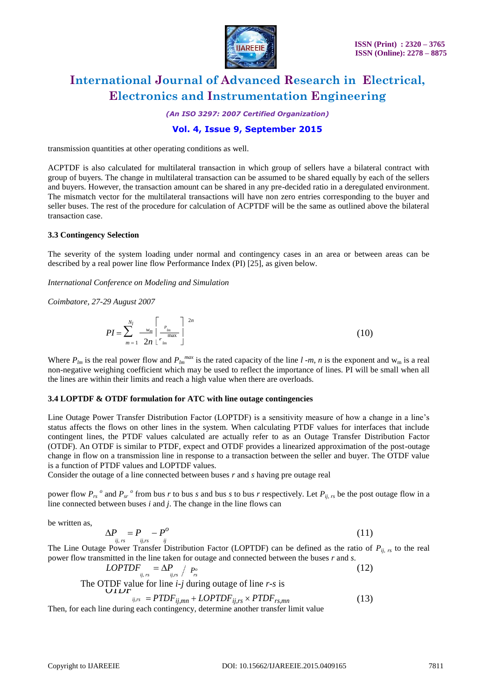

*(An ISO 3297: 2007 Certified Organization)*

### **Vol. 4, Issue 9, September 2015**

transmission quantities at other operating conditions as well.

ACPTDF is also calculated for multilateral transaction in which group of sellers have a bilateral contract with group of buyers. The change in multilateral transaction can be assumed to be shared equally by each of the sellers and buyers. However, the transaction amount can be shared in any pre-decided ratio in a deregulated environment. The mismatch vector for the multilateral transactions will have non zero entries corresponding to the buyer and seller buses. The rest of the procedure for calculation of ACPTDF will be the same as outlined above the bilateral transaction case.

#### **3.3 Contingency Selection**

The severity of the system loading under normal and contingency cases in an area or between areas can be described by a real power line flow Performance Index (PI) [25], as given below.

*International Conference on Modeling and Simulation*

*Coimbatore, 27-29 August 2007*

$$
PI = \sum_{m=1}^{N_l} \frac{w_m}{2n} \left[ \frac{P_{lm}}{P_{lm}} \right]^{2n}
$$
 (10)

Where  $P_{lm}$  is the real power flow and  $P_{lm}^{max}$  is the rated capacity of the line  $l$  -*m*, *n* is the exponent and w<sub>m</sub> is a real non-negative weighing coefficient which may be used to reflect the importance of lines. PI will be small when all the lines are within their limits and reach a high value when there are overloads.

### **3.4 LOPTDF & OTDF formulation for ATC with line outage contingencies**

Line Outage Power Transfer Distribution Factor (LOPTDF) is a sensitivity measure of how a change in a line's status affects the flows on other lines in the system. When calculating PTDF values for interfaces that include contingent lines, the PTDF values calculated are actually refer to as an Outage Transfer Distribution Factor (OTDF). An OTDF is similar to PTDF, expect and OTDF provides a linearized approximation of the post-outage change in flow on a transmission line in response to a transaction between the seller and buyer. The OTDF value is a function of PTDF values and LOPTDF values.

Consider the outage of a line connected between buses *r* and *s* having pre outage real

power flow  $P_{rs}$ <sup>o</sup> and  $P_{sr}$ <sup>o</sup> from bus *r* to bus *s* and bus *s* to bus *r* respectively. Let  $P_{ij, rs}$  be the post outage flow in a line connected between buses *i* and *j*. The change in the line flows can

be written as,

$$
\Delta P_{ij,rs} = P_{ij,rs} - P^{\circ}
$$
 (11)

*ij*, *rs ij*,*rs ij* The Line Outage Power Transfer Distribution Factor (LOPTDF) can be defined as the ratio of *Pij, rs* to the real power flow transmitted in the line taken for outage and connected between the buses *r* and *s*.

*LOPTDF*<sub>*ij,rs*</sub> = 
$$
\Delta P_{ij,rs} / P_{rs}^{o}
$$
 (12)  
The OTDF value for line *i-j* during outage of line *r-s* is

$$
i_{ij,rs} = P T D F_{ij,mn} + L OPT D F_{ij,rs} \times P T D F_{rs,mn}
$$
\n
$$
i_{ij,rs} = P T D F_{ij,mn} + L OPT D F_{ij,rs} \times P T D F_{rs,mn}
$$
\n(13)

Then, for each line during each contingency, determine another transfer limit value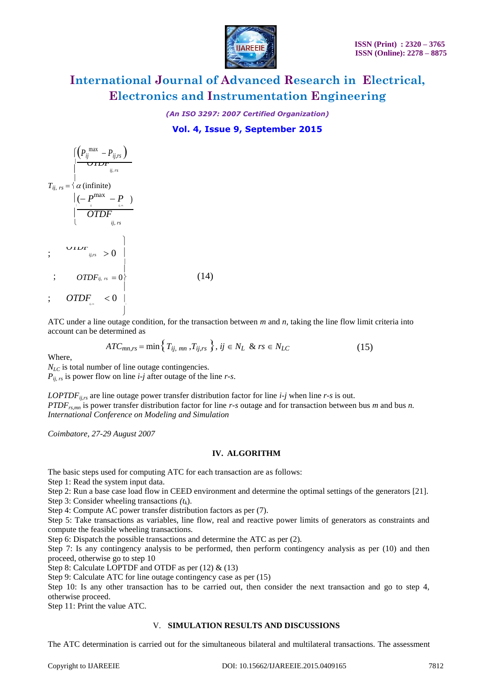

*(An ISO 3297: 2007 Certified Organization)*

**Vol. 4, Issue 9, September 2015**

$$
T_{ii, rs} = \left\{\alpha \text{ (infinite)}\atop{\alpha \text{ (infinite)}}\right.\newline T_{ii, rs} = \left\{\alpha \text{ (infinite)}\atop{\alpha \text{ (infinite)}}\right.\newline \left.\left|\begin{array}{cc} ( - P^{\text{max}}_n - P ) & \text{if } ( - P^{\text{max}}_n - P ) \\ \text{if } ( - P^{\text{max}}_n - P ) & \text{if } ( - P^{\text{max}}_n - P ) \\ \text{if } ( - P^{\text{max}}_n - P ) & \text{if } ( - P^{\text{max}}_n - P ) \end{array}\right.\newline ; \quad OPT_{ij, rs} = 0 \right\} \tag{14}
$$

ATC under a line outage condition, for the transaction between *m* and *n,* taking the line flow limit criteria into account can be determined as

$$
ATC_{mn,rs} = \min\left\{T_{ij, \; mn}, T_{ij,rs}\right\}, \; ij \in N_L \; \& \; rs \in N_{LC} \tag{15}
$$

Where,

*N<sub>LC</sub>* is total number of line outage contingencies.

 $P_{ii, rs}$  is power flow on line *i-j* after outage of the line *r-s*.

*LOPTDF*<sub>ij,rs</sub> are line outage power transfer distribution factor for line *i-j* when line *r-s* is out. *PTDFrs,mn* is power transfer distribution factor for line *r-s* outage and for transaction between bus *m* and bus *n. International Conference on Modeling and Simulation*

*Coimbatore, 27-29 August 2007*

### **IV. ALGORITHM**

The basic steps used for computing ATC for each transaction are as follows:

Step 1: Read the system input data.

Step 2: Run a base case load flow in CEED environment and determine the optimal settings of the generators [21].

Step 3: Consider wheeling transactions *(tk*).

Step 4: Compute AC power transfer distribution factors as per (7).

Step 5: Take transactions as variables, line flow, real and reactive power limits of generators as constraints and compute the feasible wheeling transactions.

Step 6: Dispatch the possible transactions and determine the ATC as per (2).

Step 7: Is any contingency analysis to be performed, then perform contingency analysis as per (10) and then proceed, otherwise go to step 10

Step 8: Calculate LOPTDF and OTDF as per (12) & (13)

Step 9: Calculate ATC for line outage contingency case as per (15)

Step 10: Is any other transaction has to be carried out, then consider the next transaction and go to step 4, otherwise proceed.

Step 11: Print the value ATC.

### V. **SIMULATION RESULTS AND DISCUSSIONS**

The ATC determination is carried out for the simultaneous bilateral and multilateral transactions. The assessment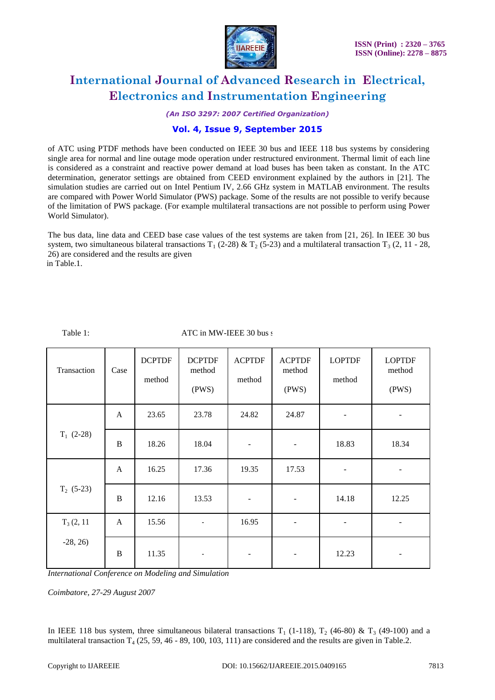

*(An ISO 3297: 2007 Certified Organization)*

### **Vol. 4, Issue 9, September 2015**

of ATC using PTDF methods have been conducted on IEEE 30 bus and IEEE 118 bus systems by considering single area for normal and line outage mode operation under restructured environment. Thermal limit of each line is considered as a constraint and reactive power demand at load buses has been taken as constant. In the ATC determination, generator settings are obtained from CEED environment explained by the authors in [21]. The simulation studies are carried out on Intel Pentium IV, 2.66 GHz system in MATLAB environment. The results are compared with Power World Simulator (PWS) package. Some of the results are not possible to verify because of the limitation of PWS package. (For example multilateral transactions are not possible to perform using Power World Simulator).

The bus data, line data and CEED base case values of the test systems are taken from [21, 26]. In IEEE 30 bus system, two simultaneous bilateral transactions  $T_1$  (2-28) &  $T_2$  (5-23) and a multilateral transaction  $T_3$  (2, 11 - 28, 26) are considered and the results are given in Table.1.

Table 1: ATC in MW-IEEE 30 bus s

| Transaction  | Case         | <b>DCPTDF</b><br>method | <b>DCPTDF</b><br>method<br>(PWS) | <b>ACPTDF</b><br>method  | <b>ACPTDF</b><br>method<br>(PWS) | <b>LOPTDF</b><br>method  | <b>LOPTDF</b><br>method<br>(PWS) |
|--------------|--------------|-------------------------|----------------------------------|--------------------------|----------------------------------|--------------------------|----------------------------------|
| $T_1$ (2-28) | $\mathbf{A}$ | 23.65                   | 23.78                            | 24.82                    | 24.87                            | $\overline{\phantom{m}}$ | $\overline{\phantom{0}}$         |
|              | B            | 18.26                   | 18.04                            | $\overline{\phantom{m}}$ | $\overline{\phantom{a}}$         | 18.83                    | 18.34                            |
| $T_2$ (5-23) | A            | 16.25                   | 17.36                            | 19.35                    | 17.53                            | $\overline{\phantom{a}}$ |                                  |
|              | B            | 12.16                   | 13.53                            |                          | $\overline{\phantom{a}}$         | 14.18                    | 12.25                            |
| $T_3(2, 11)$ | $\mathbf{A}$ | 15.56                   | $\overline{\phantom{a}}$         | 16.95                    | $\overline{\phantom{a}}$         | $\overline{\phantom{a}}$ | $\overline{\phantom{a}}$         |
| $-28, 26$    | $\, {\bf B}$ | 11.35<br>               | ۰                                |                          | -                                | 12.23                    |                                  |

*International Conference on Modeling and Simulation*

*Coimbatore, 27-29 August 2007*

In IEEE 118 bus system, three simultaneous bilateral transactions  $T_1$  (1-118),  $T_2$  (46-80) &  $T_3$  (49-100) and a multilateral transaction  $T_4$  (25, 59, 46 - 89, 100, 103, 111) are considered and the results are given in Table.2.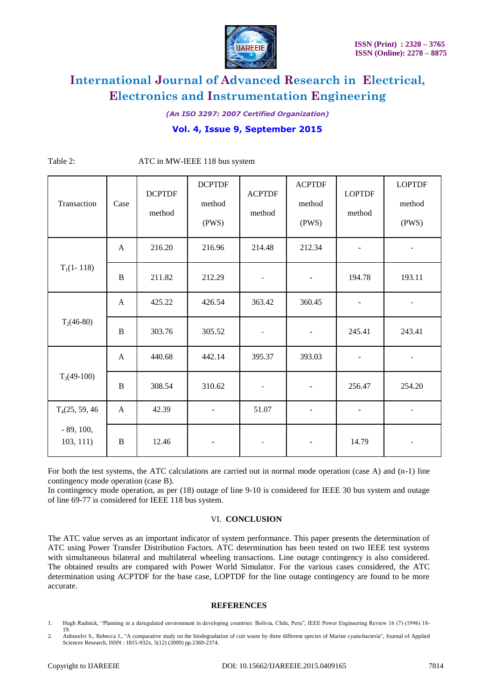

*(An ISO 3297: 2007 Certified Organization)*

## **Vol. 4, Issue 9, September 2015**

| Transaction                                             | Case         | <b>DCPTDF</b><br>method | <b>DCPTDF</b><br>method<br>(PWS) | <b>ACPTDF</b><br>method | <b>ACPTDF</b><br>method<br>(PWS) | <b>LOPTDF</b><br>method  | <b>LOPTDF</b><br>method<br>(PWS) |
|---------------------------------------------------------|--------------|-------------------------|----------------------------------|-------------------------|----------------------------------|--------------------------|----------------------------------|
| $T_1(1-118)$                                            | $\mathbf{A}$ | 216.20                  | 216.96                           | 214.48                  | 212.34                           |                          |                                  |
|                                                         | B            | 211.82                  | 212.29                           | $\blacksquare$          | $\overline{\phantom{a}}$         | 194.78                   | 193.11                           |
| $T_2(46-80)$                                            | $\mathbf{A}$ | 425.22                  | 426.54                           | 363.42                  | 360.45                           |                          | $\blacksquare$                   |
|                                                         | $\bf{B}$     | 303.76                  | 305.52                           | $\blacksquare$          | $\overline{\phantom{a}}$         | 245.41                   | 243.41                           |
| $T_3(49-100)$                                           | $\mathbf{A}$ | 440.68                  | 442.14                           | 395.37                  | 393.03                           | $\overline{\phantom{a}}$ | $\overline{a}$                   |
|                                                         | $\, {\bf B}$ | 308.54                  | 310.62                           | $\blacksquare$          | $\overline{\phantom{a}}$         | 256.47                   | 254.20                           |
| T <sub>4</sub> (25, 59, 46)<br>$-89, 100,$<br>103, 111) | A            | 42.39                   |                                  | 51.07                   |                                  |                          |                                  |
|                                                         | $\, {\bf B}$ | 12.46                   | $\overline{\phantom{a}}$         | $\blacksquare$          |                                  | 14.79                    | $\blacksquare$                   |

Table 2: ATC in MW-IEEE 118 bus system

For both the test systems, the ATC calculations are carried out in normal mode operation (case A) and (n-1) line contingency mode operation (case B).

In contingency mode operation, as per (18) outage of line 9-10 is considered for IEEE 30 bus system and outage of line 69-77 is considered for IEEE 118 bus system.

#### VI. **CONCLUSION**

The ATC value serves as an important indicator of system performance. This paper presents the determination of ATC using Power Transfer Distribution Factors. ATC determination has been tested on two IEEE test systems with simultaneous bilateral and multilateral wheeling transactions. Line outage contingency is also considered. The obtained results are compared with Power World Simulator. For the various cases considered, the ATC determination using ACPTDF for the base case, LOPTDF for the line outage contingency are found to be more accurate.

### **REFERENCES**

1. Hugh Rudnick, "Planning in a deregulated environment in developing countries: Bolivia, Chile, Peru", IEEE Power Engineering Review 16 (7) (1996) 18- 19.

<sup>2.</sup> Anbuselvi S., Rebecca J., "A comparative study on the biodegradation of coir waste by three different species of Marine cyanobacteria", Journal of Applied Sciences Research, ISSN : 1815-932x, 5(12) (2009) pp.2369-2374.